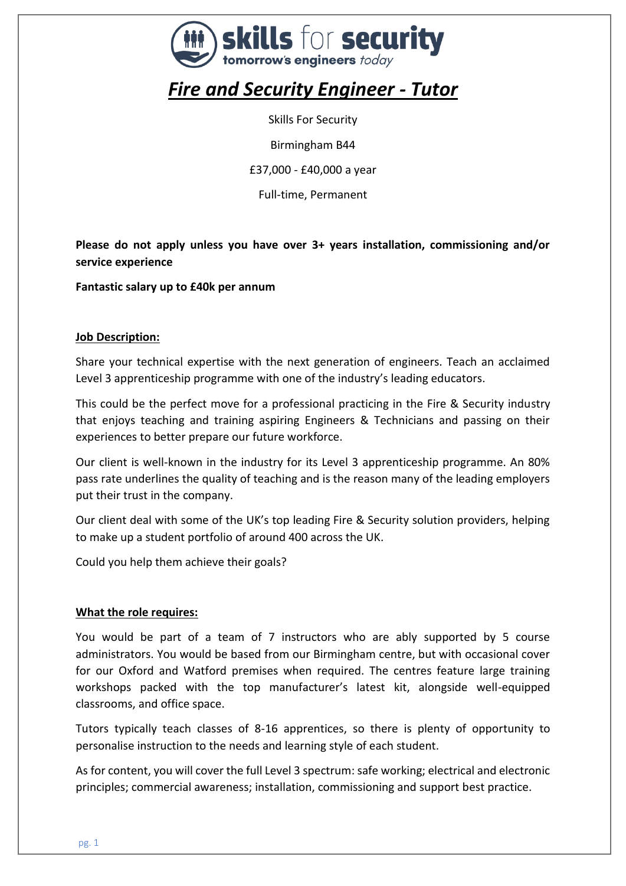

# *Fire and Security Engineer - Tutor*

Skills For Security

Birmingham B44

£37,000 - £40,000 a year

Full-time, Permanent

**Please do not apply unless you have over 3+ years installation, commissioning and/or service experience**

**Fantastic salary up to £40k per annum**

#### **Job Description:**

Share your technical expertise with the next generation of engineers. Teach an acclaimed Level 3 apprenticeship programme with one of the industry's leading educators.

This could be the perfect move for a professional practicing in the Fire & Security industry that enjoys teaching and training aspiring Engineers & Technicians and passing on their experiences to better prepare our future workforce.

Our client is well-known in the industry for its Level 3 apprenticeship programme. An 80% pass rate underlines the quality of teaching and is the reason many of the leading employers put their trust in the company.

Our client deal with some of the UK's top leading Fire & Security solution providers, helping to make up a student portfolio of around 400 across the UK.

Could you help them achieve their goals?

#### **What the role requires:**

You would be part of a team of 7 instructors who are ably supported by 5 course administrators. You would be based from our Birmingham centre, but with occasional cover for our Oxford and Watford premises when required. The centres feature large training workshops packed with the top manufacturer's latest kit, alongside well-equipped classrooms, and office space.

Tutors typically teach classes of 8-16 apprentices, so there is plenty of opportunity to personalise instruction to the needs and learning style of each student.

As for content, you will cover the full Level 3 spectrum: safe working; electrical and electronic principles; commercial awareness; installation, commissioning and support best practice.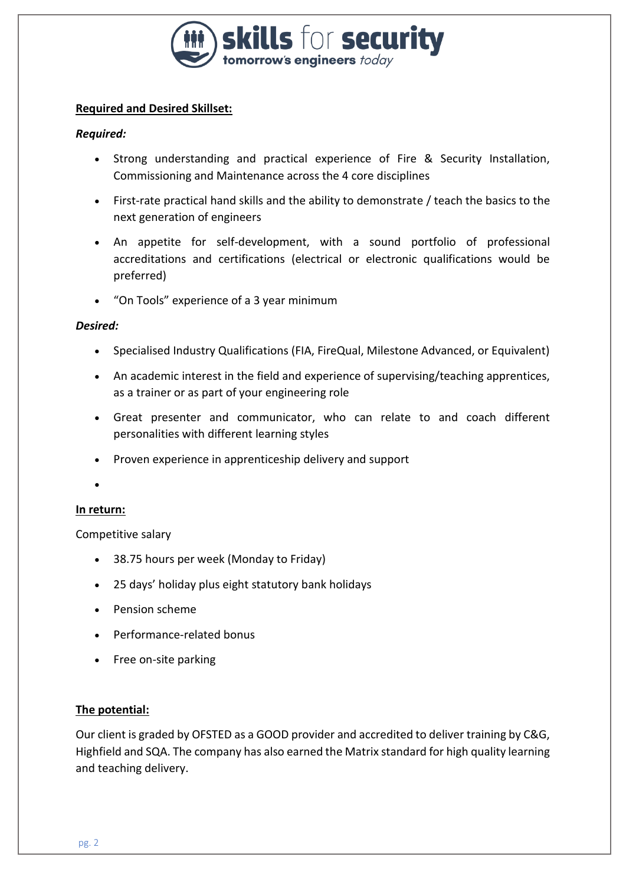

# **Required and Desired Skillset:**

## *Required:*

- Strong understanding and practical experience of Fire & Security Installation, Commissioning and Maintenance across the 4 core disciplines
- First-rate practical hand skills and the ability to demonstrate / teach the basics to the next generation of engineers
- An appetite for self-development, with a sound portfolio of professional accreditations and certifications (electrical or electronic qualifications would be preferred)
- "On Tools" experience of a 3 year minimum

#### *Desired:*

- Specialised Industry Qualifications (FIA, FireQual, Milestone Advanced, or Equivalent)
- An academic interest in the field and experience of supervising/teaching apprentices, as a trainer or as part of your engineering role
- Great presenter and communicator, who can relate to and coach different personalities with different learning styles
- Proven experience in apprenticeship delivery and support

•

#### **In return:**

Competitive salary

- 38.75 hours per week (Monday to Friday)
- 25 days' holiday plus eight statutory bank holidays
- Pension scheme
- Performance-related bonus
- Free on-site parking

#### **The potential:**

Our client is graded by OFSTED as a GOOD provider and accredited to deliver training by C&G, Highfield and SQA. The company has also earned the Matrix standard for high quality learning and teaching delivery.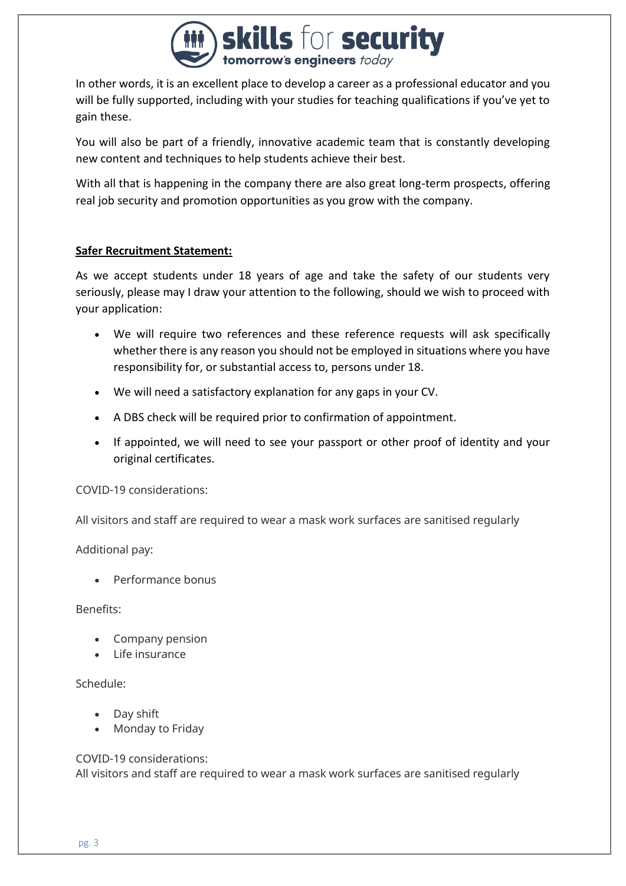

In other words, it is an excellent place to develop a career as a professional educator and you will be fully supported, including with your studies for teaching qualifications if you've yet to gain these.

You will also be part of a friendly, innovative academic team that is constantly developing new content and techniques to help students achieve their best.

With all that is happening in the company there are also great long-term prospects, offering real job security and promotion opportunities as you grow with the company.

#### **Safer Recruitment Statement:**

As we accept students under 18 years of age and take the safety of our students very seriously, please may I draw your attention to the following, should we wish to proceed with your application:

- We will require two references and these reference requests will ask specifically whether there is any reason you should not be employed in situations where you have responsibility for, or substantial access to, persons under 18.
- We will need a satisfactory explanation for any gaps in your CV.
- A DBS check will be required prior to confirmation of appointment.
- If appointed, we will need to see your passport or other proof of identity and your original certificates.

COVID-19 considerations:

All visitors and staff are required to wear a mask work surfaces are sanitised regularly

Additional pay:

• Performance bonus

Benefits:

- Company pension
- Life insurance

Schedule:

- Day shift
- Monday to Friday

COVID-19 considerations:

All visitors and staff are required to wear a mask work surfaces are sanitised regularly